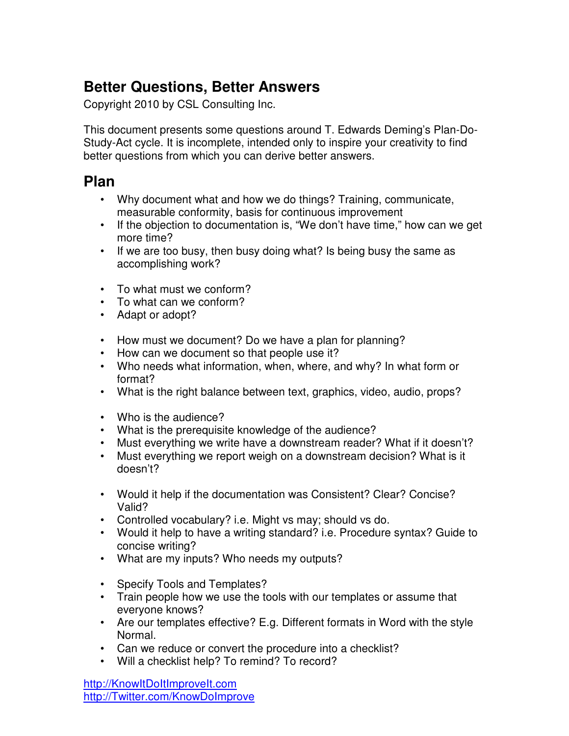# **Better Questions, Better Answers**

Copyright 2010 by CSL Consulting Inc.

This document presents some questions around T. Edwards Deming's Plan-Do-Study-Act cycle. It is incomplete, intended only to inspire your creativity to find better questions from which you can derive better answers.

#### **Plan**

- Why document what and how we do things? Training, communicate, measurable conformity, basis for continuous improvement
- If the objection to documentation is, "We don't have time," how can we get more time?
- If we are too busy, then busy doing what? Is being busy the same as accomplishing work?
- To what must we conform?
- To what can we conform?
- Adapt or adopt?
- How must we document? Do we have a plan for planning?
- How can we document so that people use it?
- Who needs what information, when, where, and why? In what form or format?
- What is the right balance between text, graphics, video, audio, props?
- Who is the audience?
- What is the prerequisite knowledge of the audience?
- Must everything we write have a downstream reader? What if it doesn't?
- Must everything we report weigh on a downstream decision? What is it doesn't?
- Would it help if the documentation was Consistent? Clear? Concise? Valid?
- Controlled vocabulary? i.e. Might vs may; should vs do.
- Would it help to have a writing standard? i.e. Procedure syntax? Guide to concise writing?
- What are my inputs? Who needs my outputs?
- Specify Tools and Templates?
- Train people how we use the tools with our templates or assume that everyone knows?
- Are our templates effective? E.g. Different formats in Word with the style Normal.
- Can we reduce or convert the procedure into a checklist?
- Will a checklist help? To remind? To record?

http://KnowItDoItImproveIt.com http://Twitter.com/KnowDoImprove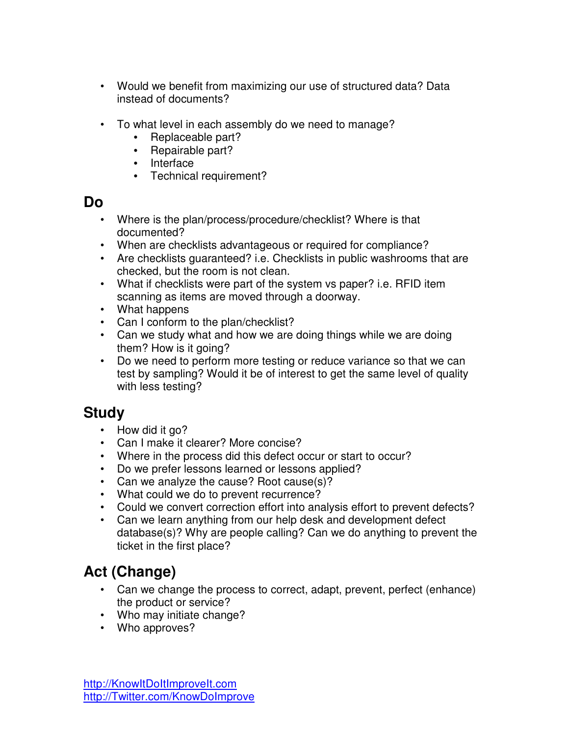- Would we benefit from maximizing our use of structured data? Data instead of documents?
- To what level in each assembly do we need to manage?
	- Replaceable part?
	- Repairable part?
	- Interface
	- Technical requirement?

#### **Do**

- Where is the plan/process/procedure/checklist? Where is that documented?
- When are checklists advantageous or required for compliance?
- Are checklists guaranteed? i.e. Checklists in public washrooms that are checked, but the room is not clean.
- What if checklists were part of the system vs paper? i.e. RFID item scanning as items are moved through a doorway.
- What happens
- Can I conform to the plan/checklist?
- Can we study what and how we are doing things while we are doing them? How is it going?
- Do we need to perform more testing or reduce variance so that we can test by sampling? Would it be of interest to get the same level of quality with less testing?

## **Study**

- How did it go?
- Can I make it clearer? More concise?
- Where in the process did this defect occur or start to occur?
- Do we prefer lessons learned or lessons applied?
- Can we analyze the cause? Root cause(s)?
- What could we do to prevent recurrence?
- Could we convert correction effort into analysis effort to prevent defects?
- Can we learn anything from our help desk and development defect database(s)? Why are people calling? Can we do anything to prevent the ticket in the first place?

# **Act (Change)**

- Can we change the process to correct, adapt, prevent, perfect (enhance) the product or service?
- Who may initiate change?
- Who approves?